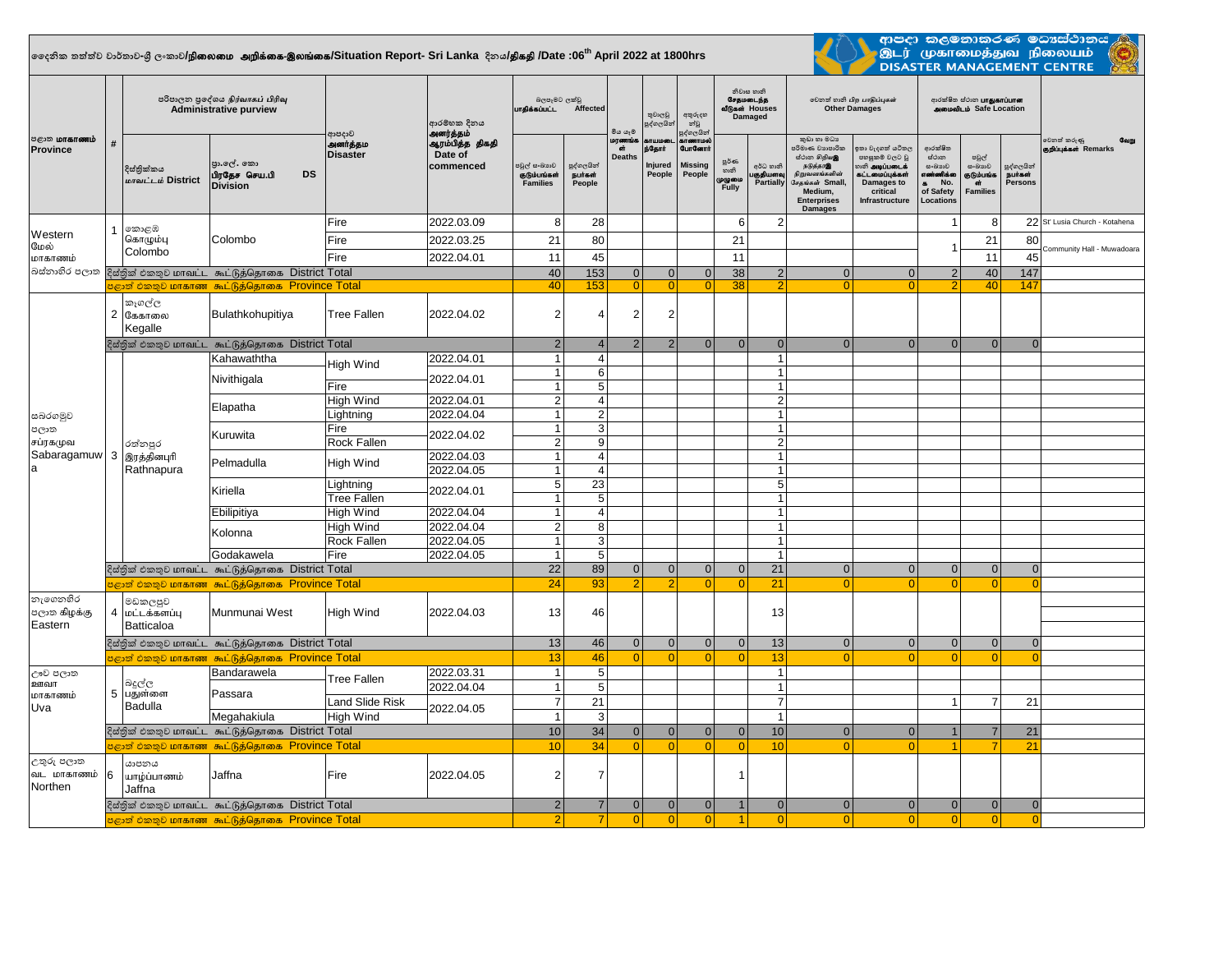## **දදනික තත්ත්ව වාර්තාව-ශ්රී ලංකාව/**epiyik mwpf;if-,yq;if**/Situation Report- Sri Lanka දිනය/**jpfjp **/Date :06th April 2022 at 1800hrs**



ආපදා කලමනාකරණ මධාය්ථානය <mark>/</mark><br>.இடர் முகாமைத்துவ நிலையம்<br>DISASTER MANAGEMENT CENTRE  $\overline{\phantom{a}}$ 

| <b>ு</b> கோணம்<br><b>Province</b>                 | #  | පරිපාලන පුදේශය நிர்வாகப் பிரிவு<br><b>Administrative purview</b> |                                                             |                                         | ආරම්භක දිනය<br>அனர்த்தம்                | බලපෑමට ලක්වු<br>பாதிக்கப்பட்ட<br>Affected       |                                  | මීය යෑම                            | තුවාලවූ<br>පුද්ගලයින්                 | අතුරුදහ<br>න්වූ<br>පුද්ගලයින්                           | නිවාස හානි<br>சேதமடைந்த<br>வீடுகள் Houses<br>Damaged |                                           | லிகை வகி பிற பாதிப்புகள்<br><b>Other Damages</b>                                                                                                 |                                                                                                                                 | ආරක්ෂිත ස්ථාන <b>பாதுகாப்பான</b><br><b>alexional Lib</b> Safe Location               |                                                        |                                               |                                              |
|---------------------------------------------------|----|------------------------------------------------------------------|-------------------------------------------------------------|-----------------------------------------|-----------------------------------------|-------------------------------------------------|----------------------------------|------------------------------------|---------------------------------------|---------------------------------------------------------|------------------------------------------------------|-------------------------------------------|--------------------------------------------------------------------------------------------------------------------------------------------------|---------------------------------------------------------------------------------------------------------------------------------|--------------------------------------------------------------------------------------|--------------------------------------------------------|-----------------------------------------------|----------------------------------------------|
|                                                   |    | දිස්තික්කය<br>மாவட்டம் District                                  | පුා.ලේ. කො<br>பிரதேச செய.பி<br><b>DS</b><br><b>Division</b> | රිදාපදාව<br>அனர்த்தம<br><b>Disaster</b> | ஆரம்பித்த திகதி<br>Date of<br>commenced | පවුල් සංඛාගව<br>குடும்பங்கள்<br><b>Families</b> | පුද්ගලයින්<br>நபர்கள்<br>People  | Log commics<br>ள்<br><b>Deaths</b> | காயமலை<br>ந்தோர்<br>Injured<br>People | காணாமல்<br><b>GunGennit</b><br><b>Missing</b><br>People | පූර්ණ<br>හානි<br>ழழுமை<br>Fully                      | අර්ධ හානි<br>குதியளவு<br><b>Partially</b> | කුඩා හා මධා<br>පරිමාණ වහපාරික<br>மீம்ற சிறியஇ<br>நடுத்தர@<br>நிறுவனங்களின்<br>சேகங்கள் Small.<br>Medium,<br><b>Enterprises</b><br><b>Damages</b> | ාකා වැදගත් යටිතල<br>පහසුකම් වලට වූ<br><b>ூ அடிப்படைக்</b><br>6ட்டமைப்புக்கள்<br><b>Damages to</b><br>critical<br>Infrastructure | ආරක්ෂිත<br>ස්ථාන<br>සංඛාගව<br>எண்ணிக்க<br>No.<br>$\bullet$<br>of Safety<br>Locations | පවුල්<br>සංඛාගව<br>குடும்பங்க<br>ள்<br><b>Families</b> | පුද්ගලයින්<br><b>Burast</b><br><b>Persons</b> | වෙනත් කරුණු<br>வேறு<br>குறிப்புக்கள் Remarks |
| Western<br>மேல்<br>மாகாணம்<br>බස්නාහිර පලාත       |    | කොළඹ<br>கொழும்பு<br>Colombo                                      | Colombo                                                     | Fire                                    | 2022.03.09                              | 8                                               | 28                               |                                    |                                       |                                                         | 6                                                    | $\overline{2}$                            |                                                                                                                                                  |                                                                                                                                 | 1                                                                                    | 8                                                      |                                               | 22 St' Lusia Church - Kotahena               |
|                                                   |    |                                                                  |                                                             | Fire                                    | 2022.03.25                              | 21                                              | 80                               |                                    |                                       |                                                         | 21                                                   |                                           |                                                                                                                                                  |                                                                                                                                 |                                                                                      | 21                                                     | 80                                            |                                              |
|                                                   |    |                                                                  |                                                             | Fire                                    | 2022.04.01                              | 11                                              | 45                               |                                    |                                       |                                                         | 11                                                   |                                           |                                                                                                                                                  |                                                                                                                                 | 1                                                                                    | 11                                                     | 45                                            | Community Hall - Muwadoara                   |
|                                                   |    | දිස්තික් එකතුව மாவட்ட கூட்டுத்தொகை District Total                |                                                             |                                         | 40                                      | 153                                             | 0                                | 0                                  | $\mathbf 0$                           | 38                                                      | 2                                                    | $\Omega$                                  | $\Omega$                                                                                                                                         | $\overline{2}$                                                                                                                  | 40                                                                                   | 147                                                    |                                               |                                              |
|                                                   |    |                                                                  | $\mathbb{R}$ ூறி එකතූව மாகாண கூட்டுத்தொகை Province Total    |                                         |                                         | 40                                              | 153                              | $\overline{0}$                     | $\Omega$                              | $\Omega$                                                | 38                                                   | $\overline{2}$                            |                                                                                                                                                  | $\Omega$                                                                                                                        |                                                                                      | 40                                                     | 147                                           |                                              |
|                                                   |    | කෑගල්ල<br>2 கேகாலை<br>Kegalle                                    | Bulathkohupitiya                                            | <b>Tree Fallen</b>                      | 2022.04.02                              | $\overline{c}$                                  | 4                                | 2                                  | $\overline{2}$                        |                                                         |                                                      |                                           |                                                                                                                                                  |                                                                                                                                 |                                                                                      |                                                        |                                               |                                              |
|                                                   |    |                                                                  | දිස්තික් එකතුව மாவட்ட கூட்டுத்தொகை District Total           |                                         |                                         | $\overline{2}$                                  | $\overline{4}$                   | 2                                  | $\overline{2}$                        | $\Omega$                                                | $\Omega$                                             | 0                                         | $\Omega$                                                                                                                                         | $\Omega$                                                                                                                        | $\mathbf{0}$                                                                         | $\mathbf{0}$                                           | $\mathbf{0}$                                  |                                              |
|                                                   |    |                                                                  | Kahawaththa                                                 | High Wind                               | 2022.04.01                              | $\mathbf{1}$                                    | $\overline{4}$                   |                                    |                                       |                                                         |                                                      | $\vert$ 1                                 |                                                                                                                                                  |                                                                                                                                 |                                                                                      |                                                        |                                               |                                              |
| සබරගමුව<br>පලාත<br>சப்ரகமுவ<br>Sabaragamuw 3<br>a |    | රත්නපුර<br>இரத்தினபுரி<br>Rathnapura                             | Nivithigala                                                 |                                         | 2022.04.01                              | $\mathbf{1}$                                    | 6                                |                                    |                                       |                                                         |                                                      | $\mathbf{1}$                              |                                                                                                                                                  |                                                                                                                                 |                                                                                      |                                                        |                                               |                                              |
|                                                   |    |                                                                  |                                                             | Fire                                    |                                         | $\mathbf{1}$                                    | 5 <sup>5</sup><br>$\overline{4}$ |                                    |                                       |                                                         |                                                      | $\mathbf{1}$<br>$\overline{2}$            |                                                                                                                                                  |                                                                                                                                 |                                                                                      |                                                        |                                               |                                              |
|                                                   |    |                                                                  | Elapatha                                                    | High Wind<br>Lightning                  | 2022.04.01<br>2022.04.04                | $\overline{c}$<br>$\mathbf{1}$                  | $\overline{2}$                   |                                    |                                       |                                                         |                                                      | $\mathbf{1}$                              |                                                                                                                                                  |                                                                                                                                 |                                                                                      |                                                        |                                               |                                              |
|                                                   |    |                                                                  | Kuruwita                                                    | Fire<br>Rock Fallen                     | 2022.04.02                              | $\mathbf{1}$<br>$\overline{2}$                  | $\mathbf{3}$<br>9                |                                    |                                       |                                                         |                                                      | $\mathbf{1}$<br>$\overline{2}$            |                                                                                                                                                  |                                                                                                                                 |                                                                                      |                                                        |                                               |                                              |
|                                                   |    |                                                                  | Pelmadulla                                                  |                                         | 2022.04.03                              | $\mathbf{1}$                                    | $\overline{4}$                   |                                    |                                       |                                                         |                                                      | $\mathbf{1}$                              |                                                                                                                                                  |                                                                                                                                 |                                                                                      |                                                        |                                               |                                              |
|                                                   |    |                                                                  |                                                             | High Wind                               | 2022.04.05                              | $\mathbf{1}$                                    | $\overline{4}$                   |                                    |                                       |                                                         |                                                      | $\mathbf{1}$                              |                                                                                                                                                  |                                                                                                                                 |                                                                                      |                                                        |                                               |                                              |
|                                                   |    |                                                                  | Kiriella                                                    | Lightning<br><b>Tree Fallen</b>         | 2022.04.01                              | 5<br>$\mathbf{1}$                               | 23<br>5                          |                                    |                                       |                                                         |                                                      | 5 <sup>1</sup><br>$\mathbf{1}$            |                                                                                                                                                  |                                                                                                                                 |                                                                                      |                                                        |                                               |                                              |
|                                                   |    |                                                                  | Ebilipitiya                                                 | <b>High Wind</b>                        | 2022.04.04                              | $\mathbf{1}$                                    | $\overline{4}$                   |                                    |                                       |                                                         |                                                      | $\mathbf{1}$                              |                                                                                                                                                  |                                                                                                                                 |                                                                                      |                                                        |                                               |                                              |
|                                                   |    |                                                                  |                                                             | <b>High Wind</b>                        | 2022.04.04                              | $\overline{2}$                                  | 8                                |                                    |                                       |                                                         |                                                      | $\mathbf{1}$                              |                                                                                                                                                  |                                                                                                                                 |                                                                                      |                                                        |                                               |                                              |
|                                                   |    |                                                                  | Kolonna                                                     | Rock Fallen                             | 2022.04.05                              | $\mathbf{1}$                                    | 3                                |                                    |                                       |                                                         |                                                      | $\mathbf{1}$                              |                                                                                                                                                  |                                                                                                                                 |                                                                                      |                                                        |                                               |                                              |
|                                                   |    |                                                                  | Godakawela                                                  | Fire                                    | 2022.04.05                              | $\mathbf{1}$                                    | 5                                |                                    |                                       |                                                         |                                                      | $\mathbf{1}$                              |                                                                                                                                                  |                                                                                                                                 |                                                                                      |                                                        |                                               |                                              |
|                                                   |    |                                                                  | දිස්තික් එකතුව மாவட்ட கூட்டுத்தொகை District Total           |                                         |                                         | 22                                              | 89                               | $\overline{0}$                     | $\overline{0}$                        | $\mathbf 0$                                             | $\overline{0}$                                       | 21                                        | 0                                                                                                                                                | $\mathbf{0}$                                                                                                                    | $\mathbf{0}$                                                                         | 0                                                      | $\overline{0}$                                |                                              |
|                                                   |    |                                                                  | <mark>පළාත් එකතුව மாகாண கூட்டுத்தொகை Province Total</mark>  |                                         |                                         | 24                                              | 93                               |                                    | $\overline{2}$                        | $\Omega$                                                | $\Omega$                                             | 21                                        | $\Omega$                                                                                                                                         | $\Omega$                                                                                                                        | $\Omega$                                                                             | $\Omega$                                               | $\Omega$                                      |                                              |
| නැගෙනහිර<br>පලාත கிழக்கு<br>Eastern               |    | මඩකලපුව<br>4 மட்டக்களப்பு<br><b>Batticaloa</b>                   | Munmunai West                                               | <b>High Wind</b>                        | 2022.04.03                              | 13                                              | 46                               |                                    |                                       |                                                         |                                                      | 13                                        |                                                                                                                                                  |                                                                                                                                 |                                                                                      |                                                        |                                               |                                              |
|                                                   |    |                                                                  | දිස්තික් එකතුව மாவட்ட கூட்டுத்தொகை District Total           |                                         | 13                                      | 46                                              | $\Omega$                         | $\mathbf{0}$                       | $\mathbf{0}$                          | $\Omega$                                                | 13                                                   | $\Omega$                                  | $\Omega$                                                                                                                                         | $\Omega$                                                                                                                        | $\mathbf{0}$                                                                         | $\mathbf{0}$                                           |                                               |                                              |
|                                                   |    |                                                                  | $\mathfrak{s}$ ළාත් එකතුව மாகாண கூட்டுத்தொகை Province Total |                                         |                                         | 13                                              | 46                               | $\Omega$                           | $\Omega$                              | $\Omega$                                                | $\Omega$                                             | 13                                        | $\Omega$                                                                                                                                         | $\Omega$                                                                                                                        | $\Omega$                                                                             | $\Omega$                                               | $\Omega$                                      |                                              |
| ඌව පලාත<br>ஊவா<br>மாகாணம்<br>Uva                  |    | බදුල්ල<br>5 பதுள்ளை<br><b>Badulla</b>                            | Bandarawela                                                 | <b>Tree Fallen</b>                      | 2022.03.31                              | $\mathbf{1}$                                    | $5\phantom{.0}$                  |                                    |                                       |                                                         |                                                      | $\mathbf{1}$                              |                                                                                                                                                  |                                                                                                                                 |                                                                                      |                                                        |                                               |                                              |
|                                                   |    |                                                                  | Passara                                                     |                                         | 2022.04.04                              | $\mathbf{1}$                                    | 5                                |                                    |                                       |                                                         |                                                      | $\mathbf{1}$                              |                                                                                                                                                  |                                                                                                                                 |                                                                                      |                                                        |                                               |                                              |
|                                                   |    |                                                                  |                                                             | <b>Land Slide Risk</b>                  | 2022.04.05                              | $\overline{7}$                                  | 21                               |                                    |                                       |                                                         |                                                      | $\overline{7}$                            |                                                                                                                                                  |                                                                                                                                 | $\overline{1}$                                                                       | $\overline{7}$                                         | 21                                            |                                              |
|                                                   |    |                                                                  | Megahakiula                                                 | <b>High Wind</b>                        |                                         |                                                 | $\mathbf{1}$<br>3                |                                    |                                       |                                                         |                                                      | $\mathbf{1}$                              |                                                                                                                                                  |                                                                                                                                 |                                                                                      |                                                        |                                               |                                              |
|                                                   |    | දිස්තික් එකතුව மாவட்ட கூட்டுத்தொகை District Total                |                                                             |                                         |                                         |                                                 | 34<br>10                         | $\Omega$                           | $\overline{0}$                        | $\mathbf{0}$                                            | $\Omega$                                             | 10 <sup>1</sup>                           | $\Omega$                                                                                                                                         | $\Omega$                                                                                                                        | $\mathbf{1}$                                                                         | $\overline{7}$                                         | 21                                            |                                              |
|                                                   |    |                                                                  | $\epsilon$ ஜ்னி එකතුව மாகாண கூட்டுத்தொகை Province Total     |                                         |                                         | 10                                              | 34                               | $\Omega$                           | $\overline{0}$                        | $\overline{0}$                                          | $\Omega$                                             | 10 <sup>°</sup>                           | $\Omega$                                                                                                                                         | $\Omega$                                                                                                                        |                                                                                      | 7                                                      | 21                                            |                                              |
| උතුරු පලාත<br>வட மாகாணம்<br>Northen               | 16 | යාපනය<br>யாழ்ப்பாணம்<br>Jaffna                                   | Jaffna                                                      | Fire                                    | 2022.04.05                              | 2                                               | $\overline{7}$                   |                                    |                                       |                                                         | -1                                                   |                                           |                                                                                                                                                  |                                                                                                                                 |                                                                                      |                                                        |                                               |                                              |
|                                                   |    |                                                                  | දිස්තික් එකතුව மாவட்ட கூட்டுத்தொகை District Total           |                                         |                                         | 2                                               | $\overline{7}$                   | 0                                  | 0                                     | $\mathbf{0}$                                            | $\mathbf{1}$                                         | 0                                         | $\Omega$                                                                                                                                         | $\Omega$                                                                                                                        | 0                                                                                    | 0                                                      | $\overline{0}$                                |                                              |
|                                                   |    | පළාත් එකතුව மாகாண கூட்டுத்தொகை Province Total                    |                                                             |                                         |                                         |                                                 | $\overline{2}$<br>$\overline{7}$ | $\Omega$                           | 0                                     | $\Omega$                                                | 11                                                   | $\Omega$                                  | $\Omega$                                                                                                                                         | $\Omega$                                                                                                                        | $\Omega$                                                                             | $\Omega$                                               | $\Omega$                                      |                                              |